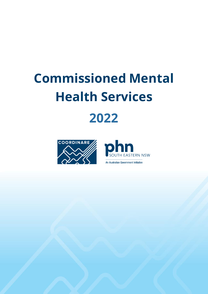## **Commissioned Mental Health Services 2022**





An Australian Government Initiative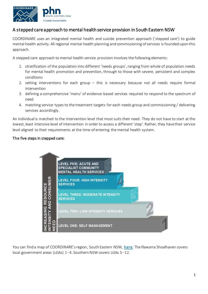

## A stepped care approach to mental health service provision in South Eastern NSW

COORDINARE uses an integrated mental health and suicide prevention approach ('stepped care') to guide mental health activity. All regional mental health planning and commissioning of services is founded upon this approach.

A stepped care approach to mental health service provision involves the following elements:

- 1. stratification of the population into different 'needs groups', ranging from whole of population needs for mental health promotion and prevention, through to those with severe, persistent and complex conditions
- 2. setting interventions for each group this is necessary because not all needs require formal intervention
- 3. defining a comprehensive 'menu' of evidence-based services required to respond to the spectrum of need
- 4. matching service types to the treatment targets for each needs group and commissioning / delivering services accordingly.

An individual is matched to the intervention level that most suits their need. They do not have to start at the lowest, least intensive level of intervention in order to access a different 'step'. Rather, they have their service level aligned to their requirements at the time of entering the mental health system.

## The five steps in stepped care:



You can find a map of COORDINARE's region, South Eastern NSW, [here](https://www.coordinare.org.au/about-us/our-region/about-south-eastern-nsw/). The Illawarra Shoalhaven covers local government areas (LGAs) 1–4. Southern NSW covers LGAs 5–12.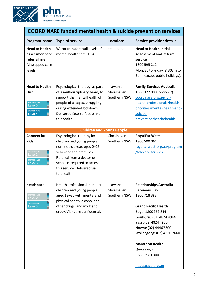



| <b>COORDINARE funded mental health &amp; suicide prevention services</b>                                         |                                                                                                                                                                                                                                |                                         |                                                                                                                                                                                                                                                                                                                |  |
|------------------------------------------------------------------------------------------------------------------|--------------------------------------------------------------------------------------------------------------------------------------------------------------------------------------------------------------------------------|-----------------------------------------|----------------------------------------------------------------------------------------------------------------------------------------------------------------------------------------------------------------------------------------------------------------------------------------------------------------|--|
| Program name                                                                                                     | <b>Type of service</b>                                                                                                                                                                                                         | <b>Locations</b>                        | Service provider details                                                                                                                                                                                                                                                                                       |  |
| <b>Head to Health</b><br>assessment and<br>referral line<br>All stepped care<br>levels                           | Warm transfer to all levels of<br>mental health care (1-5)                                                                                                                                                                     | telephone                               | <b>Head to Health Initial</b><br><b>Assessment and Referral</b><br>service<br>1800 595 212<br>Monday to Friday, 8.30am to<br>5pm (except public holidays).                                                                                                                                                     |  |
| <b>Head to Health</b><br>Hub<br><b>STEPPED CARE</b><br>Level <sub>3</sub><br><b>STEPPED CARE</b><br>Level 4      | Psychological therapy, as part<br>of a multidisciplinary team, to<br>support the mental health of<br>people of all ages, struggling<br>during extended lockdown.<br>Delivered face-to-face or via<br>telehealth.               | Illawarra<br>Shoalhaven<br>Southern NSW | <b>Family Services Australia</b><br>1800 372 000 (option 2)<br>coordinare.org.au/for-<br>health-professionals/health-<br>priorities/mental-health-and-<br>suicide-<br>prevention/headtohealth                                                                                                                  |  |
|                                                                                                                  | <b>Children and Young People</b>                                                                                                                                                                                               |                                         |                                                                                                                                                                                                                                                                                                                |  |
| <b>Connect for</b><br><b>Kids</b><br><b>STEPPED CARE</b><br>Level <sub>2</sub><br><b>STEPPED CARE</b><br>Level 3 | Psychological therapy for<br>children and young people in<br>non-metro areas aged 0-15<br>years and their families.<br>Referral from a doctor or<br>school is required to access<br>this service. Delivered via<br>telehealth. | Shoalhaven<br>Southern NSW              | <b>Royal Far West</b><br>1800 500 061<br>royalfarwest.org.au/program<br>/telecare-for-kids                                                                                                                                                                                                                     |  |
| headspace<br><b>STEPPED CARE</b><br>Level 2<br><b>STEPPED CARE</b><br>Level 3                                    | Health professionals support<br>children and young people<br>aged 12-25 with mental and<br>physical health, alcohol and<br>other drugs, and work and<br>study. Visits are confidential.                                        | Illawarra<br>Shoalhaven<br>Southern NSW | <b>Relationships Australia</b><br>Batemans Bay:<br>1800 718 383<br><b>Grand Pacific Health</b><br>Bega: 1800 959 844<br>Goulburn: (02) 4824 4944<br>Yass: (02) 4824 4950<br>Nowra: (02) 4446 7300<br>Wollongong: (02) 4220 7660<br><b>Marathon Health</b><br>Queanbeyan:<br>(02) 6298 0300<br>headspace.org.au |  |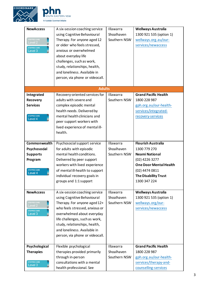



| <b>NewAccess</b><br>STEPPED CARE<br>Level <sub>2</sub><br><b>STEPPED CARE</b><br>Level 3     | A six-session coaching service<br>using Cognitive Behavioural<br>Therapy. For anyone aged 12<br>or older who feels stressed,<br>anxious or overwhelmed<br>about everyday life<br>challenges, such as work,<br>study, relationships, health,<br>and loneliness. Available in<br>person, via phone or videocall. | Illawarra<br>Shoalhaven<br>Southern NSW | Wellways Australia<br>1300 921 535 (option 1)<br>wellways.org.au/our-<br>services/newaccess                                                                                            |
|----------------------------------------------------------------------------------------------|----------------------------------------------------------------------------------------------------------------------------------------------------------------------------------------------------------------------------------------------------------------------------------------------------------------|-----------------------------------------|----------------------------------------------------------------------------------------------------------------------------------------------------------------------------------------|
|                                                                                              | <b>Adults</b>                                                                                                                                                                                                                                                                                                  |                                         |                                                                                                                                                                                        |
| Integrated<br><b>Recovery</b><br><b>Services</b><br><b>STEPPED CARE</b><br>Level 4           | Recovery-oriented services for<br>adults with severe and<br>complex episodic mental<br>health needs. Delivered by<br>mental health clinicians and<br>peer support workers with<br>lived experience of mental ill-<br>health.                                                                                   | <b>Illawarra</b><br>Southern NSW        | <b>Grand Pacific Health</b><br>1800 228 987<br>gph.org.au/our-health-<br>services/integrated-<br>recovery-services                                                                     |
| Commonwealth<br>Psychosocial<br><b>Supports</b><br>Program<br><b>STEPPED CARE</b><br>Level 4 | Psychosocial support service<br>for adults with episodic<br>mental health conditions.<br>Delivered by peer support<br>workers with lived experience<br>of mental ill-health to support<br>individual recovery goals in<br>groups and 1:1 support                                                               | Illawarra<br>Shoalhaven<br>Southern NSW | <b>Flourish Australia</b><br>1300 779 270<br><b>Neami National</b><br>(02) 4226 3277<br><b>One Door Mental Health</b><br>(02) 4474 0811<br><b>The Disability Trust</b><br>1300 347 224 |
| <b>NewAccess</b><br><b>STEPPED CARE</b><br>Level 2<br><b>STEPPED CARE</b><br>Level 3         | A six-session coaching service<br>using Cognitive Behavioural<br>Therapy. For anyone aged 12+<br>who feels stressed, anxious or<br>overwhelmed about everyday<br>life challenges, such as work,<br>study, relationships, health,<br>and loneliness. Available in<br>person, via phone or videocall.            | Illawarra<br>Shoalhaven<br>Southern NSW | <b>Wellways Australia</b><br>1300 921 535 (option 1)<br>wellways.org/our-<br>services/newaccess                                                                                        |
| Psychological<br><b>Therapies</b><br><b>STEPPED CARE</b><br>Level 3                          | Flexible psychological<br>therapies provided primarily<br>through in-person<br>consultations with a mental<br>health professional. See                                                                                                                                                                         | Illawarra<br>Shoalhaven<br>Southern NSW | <b>Grand Pacific Health</b><br>1800 228 987<br>gph.org.au/our-health-<br>services/therapy-and-<br>counselling-services                                                                 |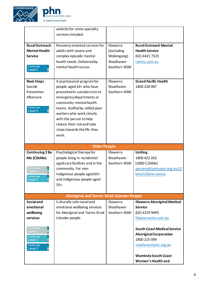



|                                | website for some specialty                          |                  |                                                  |
|--------------------------------|-----------------------------------------------------|------------------|--------------------------------------------------|
|                                | services included.                                  |                  |                                                  |
|                                |                                                     |                  |                                                  |
| <b>RuralOutreach</b>           | Recovery-oriented services for                      | <b>Illawarra</b> | <b>Rural Outreach Mental</b>                     |
| <b>Mental Health</b>           | adults with severe and                              | (excluding       | <b>Health Service</b>                            |
|                                |                                                     |                  |                                                  |
| <b>Service</b>                 | complex episodic mental                             | Wollongong)      | (02) 4421 7525                                   |
|                                | health needs. Delivered by                          | Shoalhaven       | romhs.com.au                                     |
| <b>STEPPED CARE</b>            | mental health nurses.                               | Southern NSW     |                                                  |
| Level 4                        |                                                     |                  |                                                  |
|                                |                                                     |                  |                                                  |
| <b>Next Steps</b>              | A psychosocial program for                          | Illawarra        | <b>Grand Pacific Health</b>                      |
| Suicide                        | people aged 16+ who have                            | Shoalhaven       | 1800 228 987                                     |
| Prevention                     | presented in suicidal crisis to                     | Southern NSW     |                                                  |
| Aftercare                      |                                                     |                  |                                                  |
|                                | emergency departments or                            |                  |                                                  |
|                                | community mental health                             |                  |                                                  |
| <b>STEPPED CARE</b><br>Level 4 | teams. Staffed by skilled peer                      |                  |                                                  |
|                                | workers who work closely                            |                  |                                                  |
|                                | with the person to help                             |                  |                                                  |
|                                | reduce their risk and take                          |                  |                                                  |
|                                |                                                     |                  |                                                  |
|                                | steps towards the life they                         |                  |                                                  |
|                                | want.                                               |                  |                                                  |
|                                |                                                     |                  |                                                  |
|                                |                                                     |                  |                                                  |
|                                | <b>Older People</b>                                 |                  |                                                  |
|                                |                                                     |                  |                                                  |
| <b>Continuing 2 Be</b>         | Psychological therapy for                           | <b>Illawarra</b> | <b>Uniting</b>                                   |
| Me (C2bMe)                     | people living in residential                        | Shoalhaven       | 1800 422 263                                     |
|                                | aged care facilities and in the                     | Southern NSW     | (1800 C2bMe)                                     |
| <b>STEPPED CARE</b>            | community. For non-                                 |                  | parramattamission.org.au/c2                      |
| evel 2.                        | Indigenous people aged 65+                          |                  | bme/c2bme-sensw                                  |
| <b>STEPPED CARE</b><br>evel 3  | and Indigenous people aged                          |                  |                                                  |
|                                | $55+$ .                                             |                  |                                                  |
|                                |                                                     |                  |                                                  |
|                                |                                                     |                  |                                                  |
|                                | <b>Aboriginal and Torres Strait Islander People</b> |                  |                                                  |
| <b>Social and</b>              | Culturally safe social and                          | Illawarra        | <b>Illawarra Aboriginal Medical</b>              |
| emotional                      | emotional wellbeing services                        | Shoalhaven       | <b>Service</b>                                   |
| wellbeing                      | for Aboriginal and Torres Strait                    | Southern NSW     | (02) 4229 9495                                   |
| services                       | Islander people.                                    |                  | Illawarraams.com.au                              |
|                                |                                                     |                  |                                                  |
| <b>STEPPED CARE</b>            |                                                     |                  |                                                  |
| Level 2                        |                                                     |                  | <b>South Coast Medical Service</b>               |
| <b>STEPPED CARE</b>            |                                                     |                  | <b>Aboriginal Corporation</b>                    |
| Level 3                        |                                                     |                  | 1800 215 099                                     |
| <b>STEPPED CARE</b>            |                                                     |                  | southcoastams.org.au                             |
| Level 4                        |                                                     |                  |                                                  |
|                                |                                                     |                  |                                                  |
|                                |                                                     |                  | <b>Waminda South Coast</b><br>Women's Health and |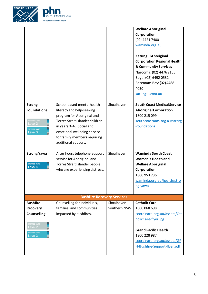



|                                                                                                                              |                                                                                                                                                                                                                                            |                            | <b>Welfare Aboriginal</b><br>Corporation<br>(02) 4421 7400<br>waminda.org.au<br>Katungul Aboriginal<br><b>Corporation Regional Health</b><br><b>&amp; Community Services</b><br>Narooma: (02) 4476 2155<br>Bega: (02) 6492 0532<br>Batemans Bay: (02) 4488<br>4050<br>katungul.com.au |  |  |
|------------------------------------------------------------------------------------------------------------------------------|--------------------------------------------------------------------------------------------------------------------------------------------------------------------------------------------------------------------------------------------|----------------------------|---------------------------------------------------------------------------------------------------------------------------------------------------------------------------------------------------------------------------------------------------------------------------------------|--|--|
| <b>Strong</b><br><b>Foundations</b><br>STEPPED CARE<br>Level 2<br><b>STEPPED CARE</b><br>Level 3                             | School-based mental health<br>literacy and help-seeking<br>program for Aboriginal and<br>Torres Strait Islander children<br>in years 3-6. Social and<br>emotional wellbeing service<br>for family members requiring<br>additional support. | Shoalhaven                 | <b>South Coast Medical Service</b><br><b>Aboriginal Corporation</b><br>1800 215 099<br>southcoastams.org.au/strong<br>-foundations                                                                                                                                                    |  |  |
| <b>Strong Yawa</b><br><b>STEPPED CARE</b><br>Level 4                                                                         | After hours telephone support<br>service for Aboriginal and<br>Torres Strait Islander people<br>who are experiencing distress.                                                                                                             | Shoalhaven                 | <b>Waminda South Coast</b><br><b>Women's Health and</b><br><b>Welfare Aboriginal</b><br>Corporation<br>1800 953 736<br>waminda.org.au/health/stro<br>ng-yawa                                                                                                                          |  |  |
| <b>Bushfire Recovery Services</b>                                                                                            |                                                                                                                                                                                                                                            |                            |                                                                                                                                                                                                                                                                                       |  |  |
| <b>Bushfire</b><br><b>Recovery</b><br><b>Counselling</b><br><b>STEPPED CARE</b><br>Level 2<br><b>STEPPED CARE</b><br>Level 3 | Counselling for individuals,<br>families, and communities<br>impacted by bushfires.                                                                                                                                                        | Shoalhaven<br>Southern NSW | <b>Catholic Care</b><br>1800 068 698<br>coordinare.org.au/assets/Cat<br>holicCare-flyer.jpg<br><b>Grand Pacific Health</b><br>1800 228 987<br>coordinare.org.au/assets/GP<br>H-Bushfire-Support-flyer.pdf                                                                             |  |  |